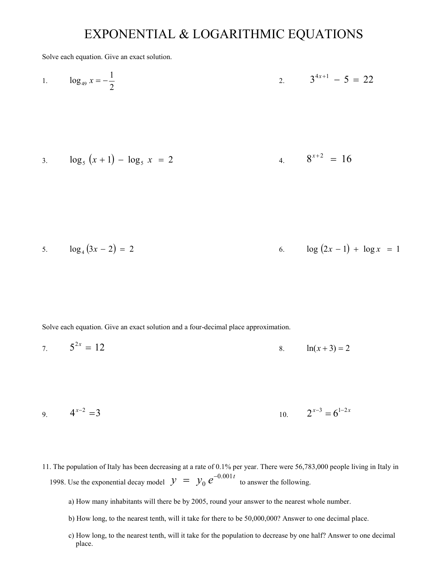## EXPONENTIAL & LOGARITHMIC EQUATIONS

Solve each equation. Give an exact solution.

1. 
$$
\log_{49} x = -\frac{1}{2}
$$
 2.  $3^{4x+1} - 5 = 22$ 

3. 
$$
\log_5(x+1) - \log_5 x = 2
$$
 4.  $8^{x+2} = 16$ 

5. 
$$
\log_4(3x-2) = 2
$$
 6.  $\log(2x-1) + \log x = 1$ 

Solve each equation. Give an exact solution and a four-decimal place approximation.

7. 
$$
5^{2x} = 12
$$
 8.  $ln(x+3) = 2$ 

9. 
$$
4^{x-2} = 3
$$
 10.  $2^{x-3} = 6^{1-2x}$ 

- 11. The population of Italy has been decreasing at a rate of 0.1% per year. There were 56,783,000 people living in Italy in 1998. Use the exponential decay model  $y = y_0 e^{-0.001t}$ 0  $= y_0 e^{-0.001 t}$  to answer the following.
	- a) How many inhabitants will there be by 2005, round your answer to the nearest whole number.
	- b) How long, to the nearest tenth, will it take for there to be 50,000,000? Answer to one decimal place.
	- c) How long, to the nearest tenth, will it take for the population to decrease by one half? Answer to one decimal place.